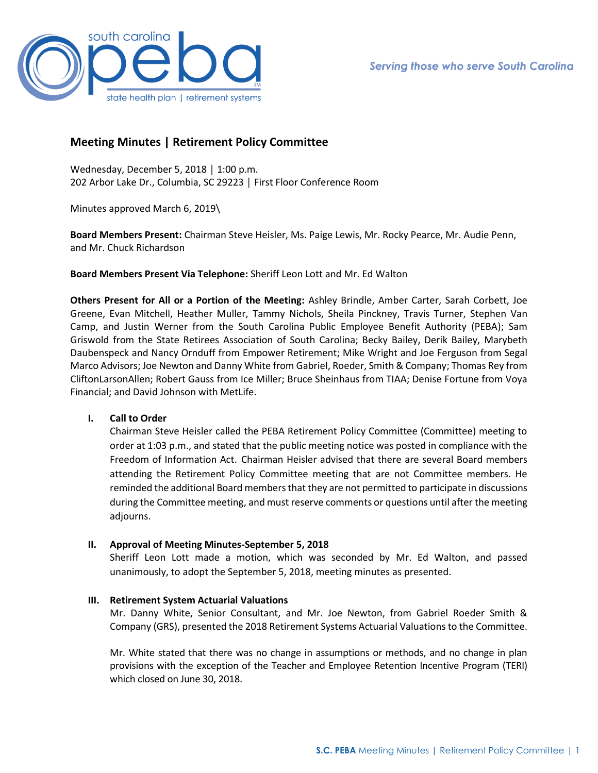

# **Meeting Minutes | Retirement Policy Committee**

Wednesday, December 5, 2018 │ 1:00 p.m. 202 Arbor Lake Dr., Columbia, SC 29223 │ First Floor Conference Room

Minutes approved March 6, 2019\

**Board Members Present:** Chairman Steve Heisler, Ms. Paige Lewis, Mr. Rocky Pearce, Mr. Audie Penn, and Mr. Chuck Richardson

**Board Members Present Via Telephone:** Sheriff Leon Lott and Mr. Ed Walton

**Others Present for All or a Portion of the Meeting:** Ashley Brindle, Amber Carter, Sarah Corbett, Joe Greene, Evan Mitchell, Heather Muller, Tammy Nichols, Sheila Pinckney, Travis Turner, Stephen Van Camp, and Justin Werner from the South Carolina Public Employee Benefit Authority (PEBA); Sam Griswold from the State Retirees Association of South Carolina; Becky Bailey, Derik Bailey, Marybeth Daubenspeck and Nancy Ornduff from Empower Retirement; Mike Wright and Joe Ferguson from Segal Marco Advisors; Joe Newton and Danny White from Gabriel, Roeder, Smith & Company; Thomas Rey from CliftonLarsonAllen; Robert Gauss from Ice Miller; Bruce Sheinhaus from TIAA; Denise Fortune from Voya Financial; and David Johnson with MetLife.

## **I. Call to Order**

Chairman Steve Heisler called the PEBA Retirement Policy Committee (Committee) meeting to order at 1:03 p.m., and stated that the public meeting notice was posted in compliance with the Freedom of Information Act. Chairman Heisler advised that there are several Board members attending the Retirement Policy Committee meeting that are not Committee members. He reminded the additional Board members that they are not permitted to participate in discussions during the Committee meeting, and must reserve comments or questions until after the meeting adjourns.

## **II. Approval of Meeting Minutes-September 5, 2018**

Sheriff Leon Lott made a motion, which was seconded by Mr. Ed Walton, and passed unanimously, to adopt the September 5, 2018, meeting minutes as presented.

### **III. Retirement System Actuarial Valuations**

Mr. Danny White, Senior Consultant, and Mr. Joe Newton, from Gabriel Roeder Smith & Company (GRS), presented the 2018 Retirement Systems Actuarial Valuations to the Committee.

Mr. White stated that there was no change in assumptions or methods, and no change in plan provisions with the exception of the Teacher and Employee Retention Incentive Program (TERI) which closed on June 30, 2018.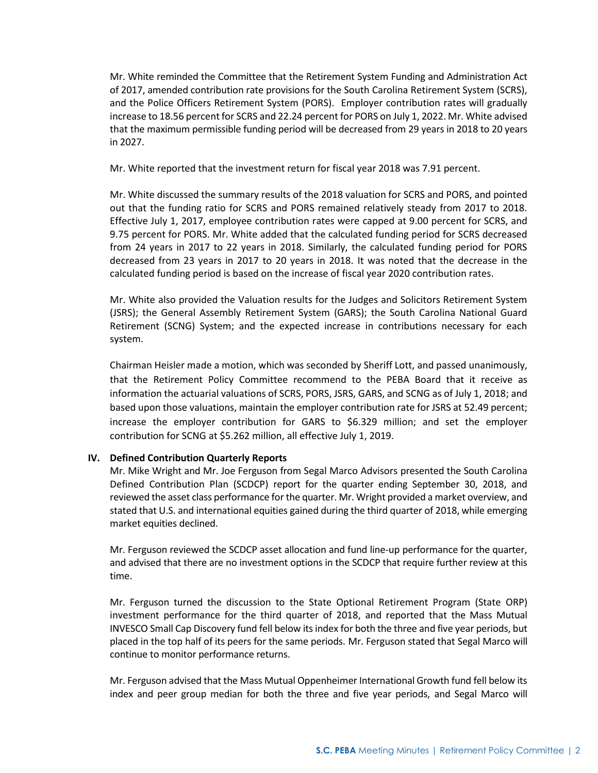Mr. White reminded the Committee that the Retirement System Funding and Administration Act of 2017, amended contribution rate provisions for the South Carolina Retirement System (SCRS), and the Police Officers Retirement System (PORS). Employer contribution rates will gradually increase to 18.56 percent for SCRS and 22.24 percent for PORS on July 1, 2022. Mr. White advised that the maximum permissible funding period will be decreased from 29 years in 2018 to 20 years in 2027.

Mr. White reported that the investment return for fiscal year 2018 was 7.91 percent.

Mr. White discussed the summary results of the 2018 valuation for SCRS and PORS, and pointed out that the funding ratio for SCRS and PORS remained relatively steady from 2017 to 2018. Effective July 1, 2017, employee contribution rates were capped at 9.00 percent for SCRS, and 9.75 percent for PORS. Mr. White added that the calculated funding period for SCRS decreased from 24 years in 2017 to 22 years in 2018. Similarly, the calculated funding period for PORS decreased from 23 years in 2017 to 20 years in 2018. It was noted that the decrease in the calculated funding period is based on the increase of fiscal year 2020 contribution rates.

Mr. White also provided the Valuation results for the Judges and Solicitors Retirement System (JSRS); the General Assembly Retirement System (GARS); the South Carolina National Guard Retirement (SCNG) System; and the expected increase in contributions necessary for each system.

Chairman Heisler made a motion, which was seconded by Sheriff Lott, and passed unanimously, that the Retirement Policy Committee recommend to the PEBA Board that it receive as information the actuarial valuations of SCRS, PORS, JSRS, GARS, and SCNG as of July 1, 2018; and based upon those valuations, maintain the employer contribution rate for JSRS at 52.49 percent; increase the employer contribution for GARS to \$6.329 million; and set the employer contribution for SCNG at \$5.262 million, all effective July 1, 2019.

## **IV. Defined Contribution Quarterly Reports**

Mr. Mike Wright and Mr. Joe Ferguson from Segal Marco Advisors presented the South Carolina Defined Contribution Plan (SCDCP) report for the quarter ending September 30, 2018, and reviewed the asset class performance for the quarter. Mr. Wright provided a market overview, and stated that U.S. and international equities gained during the third quarter of 2018, while emerging market equities declined.

Mr. Ferguson reviewed the SCDCP asset allocation and fund line-up performance for the quarter, and advised that there are no investment options in the SCDCP that require further review at this time.

Mr. Ferguson turned the discussion to the State Optional Retirement Program (State ORP) investment performance for the third quarter of 2018, and reported that the Mass Mutual INVESCO Small Cap Discovery fund fell below its index for both the three and five year periods, but placed in the top half of its peers for the same periods. Mr. Ferguson stated that Segal Marco will continue to monitor performance returns.

Mr. Ferguson advised that the Mass Mutual Oppenheimer International Growth fund fell below its index and peer group median for both the three and five year periods, and Segal Marco will